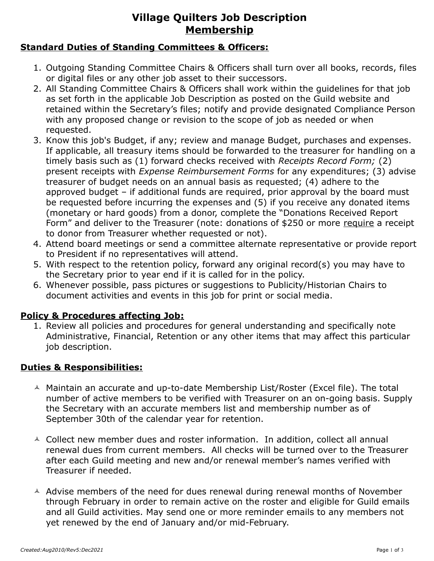# **Village Quilters Job Description Membership**

#### **Standard Duties of Standing Committees & Officers:**

- 1. Outgoing Standing Committee Chairs & Officers shall turn over all books, records, files or digital files or any other job asset to their successors.
- 2. All Standing Committee Chairs & Officers shall work within the guidelines for that job as set forth in the applicable Job Description as posted on the Guild website and retained within the Secretary's files; notify and provide designated Compliance Person with any proposed change or revision to the scope of job as needed or when requested.
- 3. Know this job's Budget, if any; review and manage Budget, purchases and expenses. If applicable, all treasury items should be forwarded to the treasurer for handling on a timely basis such as (1) forward checks received with *Receipts Record Form;* (2) present receipts with *Expense Reimbursement Forms* for any expenditures; (3) advise treasurer of budget needs on an annual basis as requested; (4) adhere to the approved budget – if additional funds are required, prior approval by the board must be requested before incurring the expenses and (5) if you receive any donated items (monetary or hard goods) from a donor, complete the "Donations Received Report Form" and deliver to the Treasurer (note: donations of \$250 or more require a receipt to donor from Treasurer whether requested or not).
- 4. Attend board meetings or send a committee alternate representative or provide report to President if no representatives will attend.
- 5. With respect to the retention policy, forward any original record(s) you may have to the Secretary prior to year end if it is called for in the policy.
- 6. Whenever possible, pass pictures or suggestions to Publicity/Historian Chairs to document activities and events in this job for print or social media.

#### **Policy & Procedures affecting Job:**

1. Review all policies and procedures for general understanding and specifically note Administrative, Financial, Retention or any other items that may affect this particular job description.

#### **Duties & Responsibilities:**

- $\triangle$  Maintain an accurate and up-to-date Membership List/Roster (Excel file). The total number of active members to be verified with Treasurer on an on-going basis. Supply the Secretary with an accurate members list and membership number as of September 30th of the calendar year for retention.
- $\triangle$  Collect new member dues and roster information. In addition, collect all annual renewal dues from current members. All checks will be turned over to the Treasurer after each Guild meeting and new and/or renewal member's names verified with Treasurer if needed.
- $\triangle$  Advise members of the need for dues renewal during renewal months of November through February in order to remain active on the roster and eligible for Guild emails and all Guild activities. May send one or more reminder emails to any members not yet renewed by the end of January and/or mid-February.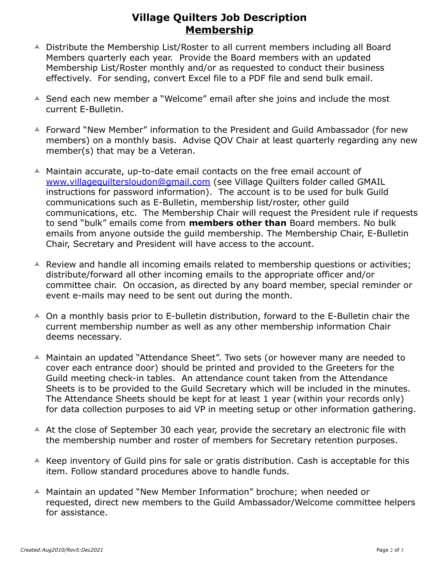### **Village Quilters Job Description Membership**

- A Distribute the Membership List/Roster to all current members including all Board Members quarterly each year. Provide the Board members with an updated Membership List/Roster monthly and/or as requested to conduct their business effectively. For sending, convert Excel file to a PDF file and send bulk email.
- $\triangle$  Send each new member a "Welcome" email after she joins and include the most current E-Bulletin.
- A Forward "New Member" information to the President and Guild Ambassador (for new members) on a monthly basis. Advise QOV Chair at least quarterly regarding any new member(s) that may be a Veteran.
- $\triangle$  Maintain accurate, up-to-date email contacts on the free email account of [www.villagequiltersloudon@gmail.com](mailto:www.villagequiltersloudon@gmail.com) (see Village Quilters folder called GMAIL instructions for password information). The account is to be used for bulk Guild communications such as E-Bulletin, membership list/roster, other guild communications, etc. The Membership Chair will request the President rule if requests to send "bulk" emails come from **members other than** Board members. No bulk emails from anyone outside the guild membership. The Membership Chair, E-Bulletin Chair, Secretary and President will have access to the account.
- $\triangle$  Review and handle all incoming emails related to membership questions or activities; distribute/forward all other incoming emails to the appropriate officer and/or committee chair. On occasion, as directed by any board member, special reminder or event e-mails may need to be sent out during the month.
- $\triangle$  On a monthly basis prior to E-bulletin distribution, forward to the E-Bulletin chair the current membership number as well as any other membership information Chair deems necessary.
- A Maintain an updated "Attendance Sheet". Two sets (or however many are needed to cover each entrance door) should be printed and provided to the Greeters for the Guild meeting check-in tables. An attendance count taken from the Attendance Sheets is to be provided to the Guild Secretary which will be included in the minutes. The Attendance Sheets should be kept for at least 1 year (within your records only) for data collection purposes to aid VP in meeting setup or other information gathering.
- $\triangle$  At the close of September 30 each year, provide the secretary an electronic file with the membership number and roster of members for Secretary retention purposes.
- $\triangle$  Keep inventory of Guild pins for sale or gratis distribution. Cash is acceptable for this item. Follow standard procedures above to handle funds.
- $\triangle$  Maintain an updated "New Member Information" brochure; when needed or requested, direct new members to the Guild Ambassador/Welcome committee helpers for assistance.